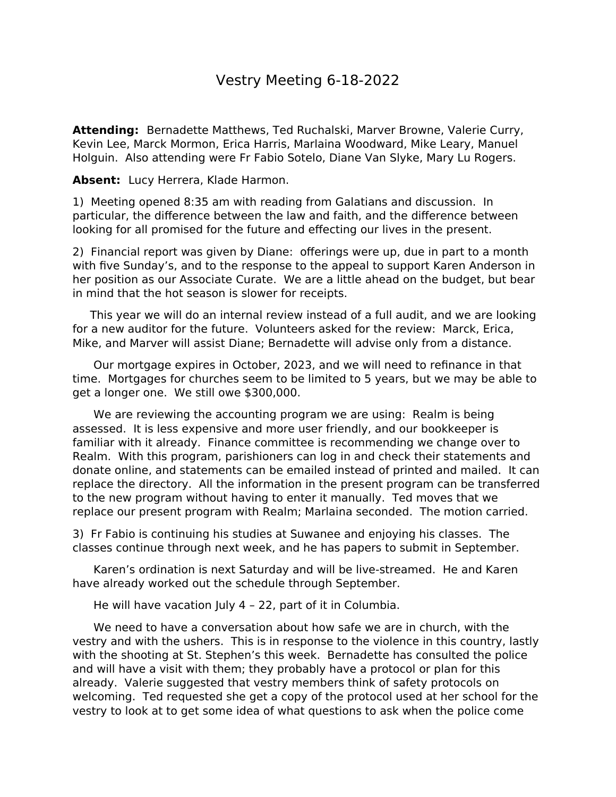## Vestry Meeting 6-18-2022

**Attending:** Bernadette Matthews, Ted Ruchalski, Marver Browne, Valerie Curry, Kevin Lee, Marck Mormon, Erica Harris, Marlaina Woodward, Mike Leary, Manuel Holguin. Also attending were Fr Fabio Sotelo, Diane Van Slyke, Mary Lu Rogers.

Absent: Lucy Herrera, Klade Harmon.

1) Meeting opened 8:35 am with reading from Galatians and discussion. In particular, the difference between the law and faith, and the difference between looking for all promised for the future and effecting our lives in the present.

2) Financial report was given by Diane: offerings were up, due in part to a month with five Sunday's, and to the response to the appeal to support Karen Anderson in her position as our Associate Curate. We are a little ahead on the budget, but bear in mind that the hot season is slower for receipts.

 This year we will do an internal review instead of a full audit, and we are looking for a new auditor for the future. Volunteers asked for the review: Marck, Erica, Mike, and Marver will assist Diane; Bernadette will advise only from a distance.

 Our mortgage expires in October, 2023, and we will need to refinance in that time. Mortgages for churches seem to be limited to 5 years, but we may be able to get a longer one. We still owe \$300,000.

 We are reviewing the accounting program we are using: Realm is being assessed. It is less expensive and more user friendly, and our bookkeeper is familiar with it already. Finance committee is recommending we change over to Realm. With this program, parishioners can log in and check their statements and donate online, and statements can be emailed instead of printed and mailed. It can replace the directory. All the information in the present program can be transferred to the new program without having to enter it manually. Ted moves that we replace our present program with Realm; Marlaina seconded. The motion carried.

3) Fr Fabio is continuing his studies at Suwanee and enjoying his classes. The classes continue through next week, and he has papers to submit in September.

 Karen's ordination is next Saturday and will be live-streamed. He and Karen have already worked out the schedule through September.

He will have vacation July 4 – 22, part of it in Columbia.

 We need to have a conversation about how safe we are in church, with the vestry and with the ushers. This is in response to the violence in this country, lastly with the shooting at St. Stephen's this week. Bernadette has consulted the police and will have a visit with them; they probably have a protocol or plan for this already. Valerie suggested that vestry members think of safety protocols on welcoming. Ted requested she get a copy of the protocol used at her school for the vestry to look at to get some idea of what questions to ask when the police come